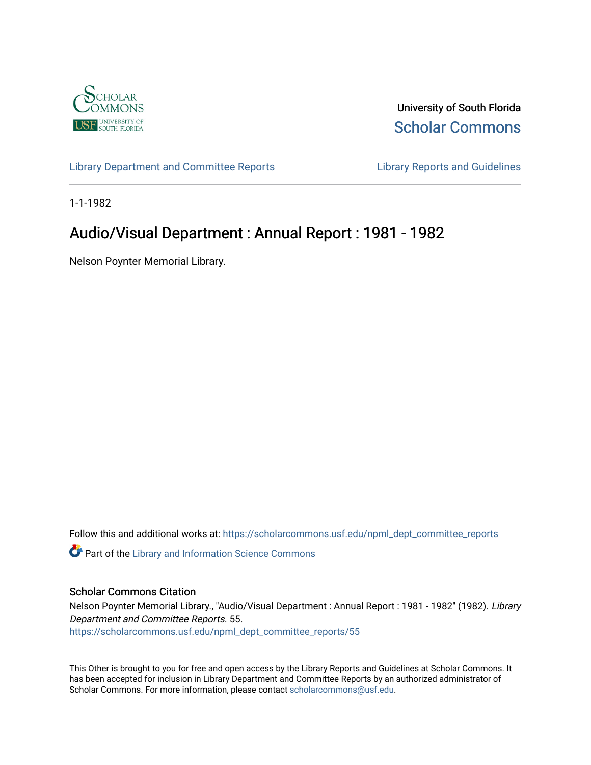

University of South Florida [Scholar Commons](https://scholarcommons.usf.edu/) 

[Library Department and Committee Reports](https://scholarcommons.usf.edu/npml_dept_committee_reports) [Library Reports and Guidelines](https://scholarcommons.usf.edu/npml_reports_guidelines_instruct_materials) 

1-1-1982

## Audio/Visual Department : Annual Report : 1981 - 1982

Nelson Poynter Memorial Library.

Follow this and additional works at: [https://scholarcommons.usf.edu/npml\\_dept\\_committee\\_reports](https://scholarcommons.usf.edu/npml_dept_committee_reports?utm_source=scholarcommons.usf.edu%2Fnpml_dept_committee_reports%2F55&utm_medium=PDF&utm_campaign=PDFCoverPages)

Part of the [Library and Information Science Commons](http://network.bepress.com/hgg/discipline/1018?utm_source=scholarcommons.usf.edu%2Fnpml_dept_committee_reports%2F55&utm_medium=PDF&utm_campaign=PDFCoverPages) 

## Scholar Commons Citation

Nelson Poynter Memorial Library., "Audio/Visual Department : Annual Report : 1981 - 1982" (1982). Library Department and Committee Reports. 55. [https://scholarcommons.usf.edu/npml\\_dept\\_committee\\_reports/55](https://scholarcommons.usf.edu/npml_dept_committee_reports/55?utm_source=scholarcommons.usf.edu%2Fnpml_dept_committee_reports%2F55&utm_medium=PDF&utm_campaign=PDFCoverPages) 

This Other is brought to you for free and open access by the Library Reports and Guidelines at Scholar Commons. It has been accepted for inclusion in Library Department and Committee Reports by an authorized administrator of Scholar Commons. For more information, please contact [scholarcommons@usf.edu](mailto:scholarcommons@usf.edu).